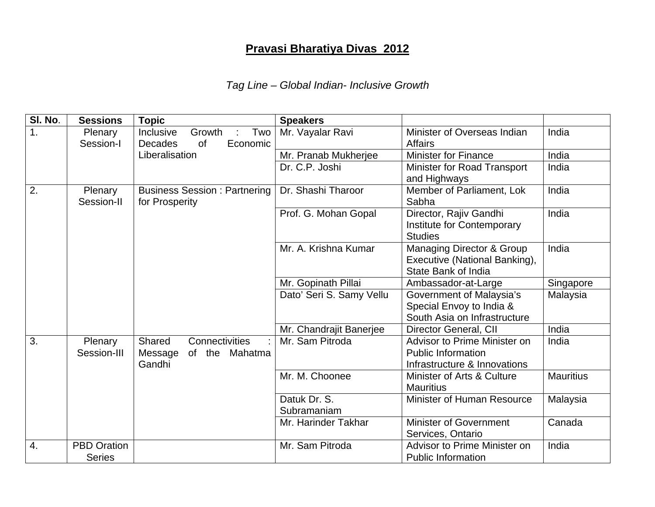## **Pravasi Bharatiya Divas 2012**

## *Tag Line – Global Indian- Inclusive Growth*

| SI. No.          | <b>Sessions</b>                     | <b>Topic</b>                                                          | <b>Speakers</b>             |                                                                                              |                  |
|------------------|-------------------------------------|-----------------------------------------------------------------------|-----------------------------|----------------------------------------------------------------------------------------------|------------------|
| 1.               | Plenary<br>Session-I                | Growth<br>Two<br>Inclusive<br><b>Decades</b><br><b>of</b><br>Economic | Mr. Vayalar Ravi            | Minister of Overseas Indian<br><b>Affairs</b>                                                | India            |
|                  |                                     | Liberalisation                                                        | Mr. Pranab Mukherjee        | <b>Minister for Finance</b>                                                                  | India            |
|                  |                                     |                                                                       | Dr. C.P. Joshi              | Minister for Road Transport<br>and Highways                                                  | India            |
| 2.               | Plenary<br>Session-II               | <b>Business Session: Partnering</b><br>for Prosperity                 | Dr. Shashi Tharoor          | Member of Parliament, Lok<br>Sabha                                                           | India            |
|                  |                                     |                                                                       | Prof. G. Mohan Gopal        | Director, Rajiv Gandhi<br>Institute for Contemporary<br><b>Studies</b>                       | India            |
|                  |                                     |                                                                       | Mr. A. Krishna Kumar        | <b>Managing Director &amp; Group</b><br>Executive (National Banking),<br>State Bank of India | India            |
|                  |                                     |                                                                       | Mr. Gopinath Pillai         | Ambassador-at-Large                                                                          | Singapore        |
|                  |                                     |                                                                       | Dato' Seri S. Samy Vellu    | Government of Malaysia's<br>Special Envoy to India &<br>South Asia on Infrastructure         | Malaysia         |
|                  |                                     |                                                                       | Mr. Chandrajit Banerjee     | Director General, CII                                                                        | India            |
| $\overline{3}$ . | Plenary<br>Session-III              | Shared<br>Connectivities<br>Message<br>of the Mahatma<br>Gandhi       | Mr. Sam Pitroda             | Advisor to Prime Minister on<br><b>Public Information</b><br>Infrastructure & Innovations    | India            |
|                  |                                     |                                                                       | Mr. M. Choonee              | Minister of Arts & Culture<br><b>Mauritius</b>                                               | <b>Mauritius</b> |
|                  |                                     |                                                                       | Datuk Dr. S.<br>Subramaniam | Minister of Human Resource                                                                   | Malaysia         |
|                  |                                     |                                                                       | Mr. Harinder Takhar         | <b>Minister of Government</b><br>Services, Ontario                                           | Canada           |
| 4.               | <b>PBD Oration</b><br><b>Series</b> |                                                                       | Mr. Sam Pitroda             | Advisor to Prime Minister on<br><b>Public Information</b>                                    | India            |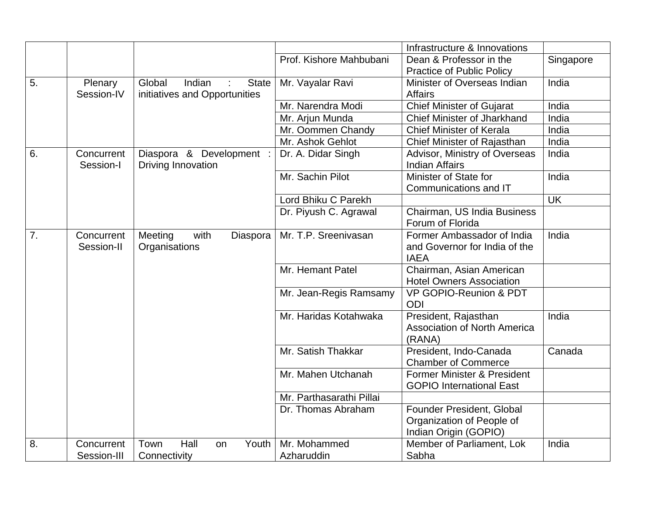|    |                           |                                                            |                            | Infrastructure & Innovations                                                    |           |
|----|---------------------------|------------------------------------------------------------|----------------------------|---------------------------------------------------------------------------------|-----------|
|    |                           |                                                            | Prof. Kishore Mahbubani    | Dean & Professor in the<br><b>Practice of Public Policy</b>                     | Singapore |
| 5. | Plenary<br>Session-IV     | Global<br>Indian<br>State<br>initiatives and Opportunities | Mr. Vayalar Ravi           | Minister of Overseas Indian<br><b>Affairs</b>                                   | India     |
|    |                           |                                                            | Mr. Narendra Modi          | <b>Chief Minister of Gujarat</b>                                                | India     |
|    |                           |                                                            | Mr. Arjun Munda            | <b>Chief Minister of Jharkhand</b>                                              | India     |
|    |                           |                                                            | Mr. Oommen Chandy          | <b>Chief Minister of Kerala</b>                                                 | India     |
|    |                           |                                                            | Mr. Ashok Gehlot           | Chief Minister of Rajasthan                                                     | India     |
| 6. | Concurrent<br>Session-I   | Diaspora & Development :<br>Driving Innovation             | Dr. A. Didar Singh         | Advisor, Ministry of Overseas<br><b>Indian Affairs</b>                          | India     |
|    |                           |                                                            | Mr. Sachin Pilot           | Minister of State for                                                           | India     |
|    |                           |                                                            |                            | Communications and IT                                                           |           |
|    |                           |                                                            | Lord Bhiku C Parekh        |                                                                                 | <b>UK</b> |
|    |                           |                                                            | Dr. Piyush C. Agrawal      | Chairman, US India Business                                                     |           |
|    |                           |                                                            |                            | Forum of Florida                                                                |           |
| 7. | Concurrent<br>Session-II  | Meeting<br>with<br>Diaspora<br>Organisations               | Mr. T.P. Sreenivasan       | Former Ambassador of India<br>and Governor for India of the<br><b>IAEA</b>      | India     |
|    |                           |                                                            | Mr. Hemant Patel           | Chairman, Asian American<br><b>Hotel Owners Association</b>                     |           |
|    |                           |                                                            | Mr. Jean-Regis Ramsamy     | <b>VP GOPIO-Reunion &amp; PDT</b><br><b>ODI</b>                                 |           |
|    |                           |                                                            | Mr. Haridas Kotahwaka      | President, Rajasthan<br><b>Association of North America</b><br>(RANA)           | India     |
|    |                           |                                                            | Mr. Satish Thakkar         | President, Indo-Canada<br><b>Chamber of Commerce</b>                            | Canada    |
|    |                           |                                                            | Mr. Mahen Utchanah         | Former Minister & President<br><b>GOPIO International East</b>                  |           |
|    |                           |                                                            | Mr. Parthasarathi Pillai   |                                                                                 |           |
|    |                           |                                                            | Dr. Thomas Abraham         | Founder President, Global<br>Organization of People of<br>Indian Origin (GOPIO) |           |
| 8. | Concurrent<br>Session-III | Hall<br>Town<br>Youth<br>on<br>Connectivity                | Mr. Mohammed<br>Azharuddin | Member of Parliament, Lok<br>Sabha                                              | India     |